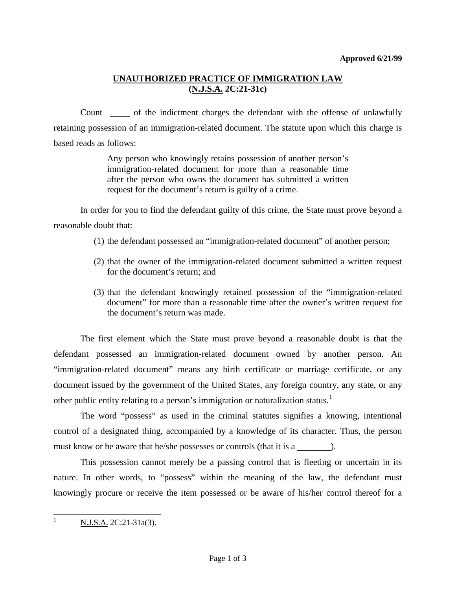# **UNAUTHORIZED PRACTICE OF IMMIGRATION LAW (N.J.S.A. 2C:21-31c)**

Count only of the indictment charges the defendant with the offense of unlawfully retaining possession of an immigration-related document. The statute upon which this charge is based reads as follows:

> Any person who knowingly retains possession of another person's immigration-related document for more than a reasonable time after the person who owns the document has submitted a written request for the document's return is guilty of a crime.

In order for you to find the defendant guilty of this crime, the State must prove beyond a reasonable doubt that:

- (1) the defendant possessed an "immigration-related document" of another person;
- (2) that the owner of the immigration-related document submitted a written request for the document's return; and
- (3) that the defendant knowingly retained possession of the "immigration-related document" for more than a reasonable time after the owner's written request for the document's return was made.

The first element which the State must prove beyond a reasonable doubt is that the defendant possessed an immigration-related document owned by another person. An "immigration-related document" means any birth certificate or marriage certificate, or any document issued by the government of the United States, any foreign country, any state, or any other public entity relating to a person's immigration or naturalization status.<sup>[1](#page-2-0)</sup>

The word "possess" as used in the criminal statutes signifies a knowing, intentional control of a designated thing, accompanied by a knowledge of its character. Thus, the person must know or be aware that he/she possesses or controls (that it is a ).

This possession cannot merely be a passing control that is fleeting or uncertain in its nature. In other words, to "possess" within the meaning of the law, the defendant must knowingly procure or receive the item possessed or be aware of his/her control thereof for a

<sup>1</sup> N.J.S.A. 2C:21-31a(3).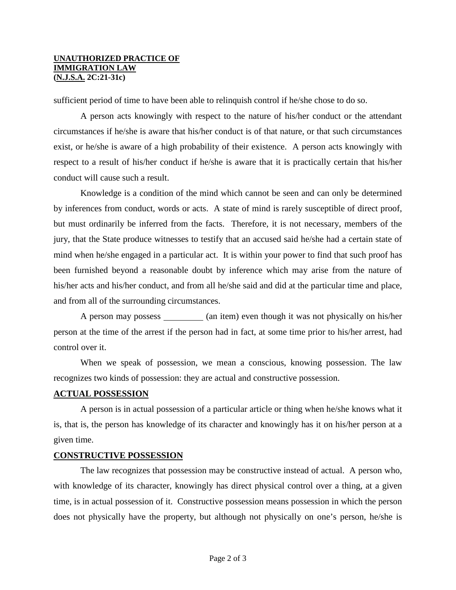#### **UNAUTHORIZED PRACTICE OF IMMIGRATION LAW (N.J.S.A. 2C:21-31c)**

sufficient period of time to have been able to relinquish control if he/she chose to do so.

A person acts knowingly with respect to the nature of his/her conduct or the attendant circumstances if he/she is aware that his/her conduct is of that nature, or that such circumstances exist, or he/she is aware of a high probability of their existence. A person acts knowingly with respect to a result of his/her conduct if he/she is aware that it is practically certain that his/her conduct will cause such a result.

Knowledge is a condition of the mind which cannot be seen and can only be determined by inferences from conduct, words or acts. A state of mind is rarely susceptible of direct proof, but must ordinarily be inferred from the facts. Therefore, it is not necessary, members of the jury, that the State produce witnesses to testify that an accused said he/she had a certain state of mind when he/she engaged in a particular act. It is within your power to find that such proof has been furnished beyond a reasonable doubt by inference which may arise from the nature of his/her acts and his/her conduct, and from all he/she said and did at the particular time and place, and from all of the surrounding circumstances.

A person may possess \_\_\_\_\_\_\_\_ (an item) even though it was not physically on his/her person at the time of the arrest if the person had in fact, at some time prior to his/her arrest, had control over it.

When we speak of possession, we mean a conscious, knowing possession. The law recognizes two kinds of possession: they are actual and constructive possession.

### **ACTUAL POSSESSION**

A person is in actual possession of a particular article or thing when he/she knows what it is, that is, the person has knowledge of its character and knowingly has it on his/her person at a given time.

### **CONSTRUCTIVE POSSESSION**

The law recognizes that possession may be constructive instead of actual. A person who, with knowledge of its character, knowingly has direct physical control over a thing, at a given time, is in actual possession of it. Constructive possession means possession in which the person does not physically have the property, but although not physically on one's person, he/she is